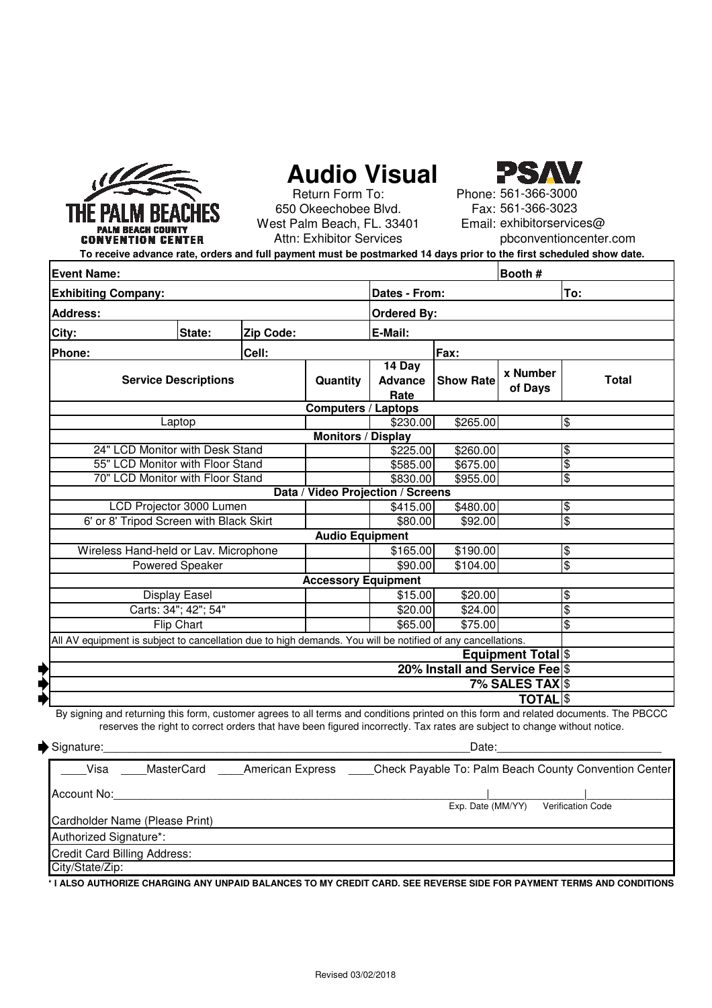

# **Audio Visual**



West Palm Beach, FL. 33401 Attn: Exhibitor Services 650 Okeechobee Blvd. Return Form To:

Phone: 561-366-3000 Fax: 561-366-3023 Email: exhibitorservices@ pbconventioncenter.com

**To receive advance rate, orders and full payment must be postmarked 14 days prior to the first scheduled show date.**

| Booth #<br><b>Event Name:</b>                                                                               |        |           |                                   |                                   |                         |                     |                     |  |
|-------------------------------------------------------------------------------------------------------------|--------|-----------|-----------------------------------|-----------------------------------|-------------------------|---------------------|---------------------|--|
| <b>Exhibiting Company:</b>                                                                                  |        |           |                                   | Dates - From:                     |                         |                     | To:                 |  |
| <b>Address:</b>                                                                                             |        |           |                                   | <b>Ordered By:</b>                |                         |                     |                     |  |
| City:                                                                                                       | State: | Zip Code: |                                   |                                   | E-Mail:                 |                     |                     |  |
| Cell:<br>Phone:                                                                                             |        |           |                                   | Fax:                              |                         |                     |                     |  |
| <b>Service Descriptions</b>                                                                                 |        |           | Quantity                          | 14 Day<br><b>Advance</b><br>Rate  | <b>Show Rate</b>        | x Number<br>of Days | <b>Total</b>        |  |
|                                                                                                             |        |           |                                   |                                   |                         |                     |                     |  |
| Laptop                                                                                                      |        |           |                                   | \$230.00                          | \$265.00                |                     | l\$                 |  |
|                                                                                                             |        |           | <b>Monitors / Display</b>         |                                   |                         |                     |                     |  |
| 24" LCD Monitor with Desk Stand                                                                             |        |           |                                   | \$225.00                          | \$260.00                |                     | \$                  |  |
| 55" LCD Monitor with Floor Stand                                                                            |        |           |                                   | \$585.00                          | \$675.00                |                     | $\frac{1}{2}$       |  |
| 70" LCD Monitor with Floor Stand                                                                            |        |           |                                   | \$830.00                          | \$955.00                |                     | $\frac{1}{2}$       |  |
|                                                                                                             |        |           | Data / Video Projection / Screens |                                   |                         |                     |                     |  |
| LCD Projector 3000 Lumen                                                                                    |        |           |                                   | \$415.00                          | \$480.00                |                     | $\overline{\theta}$ |  |
| 6' or 8' Tripod Screen with Black Skirt                                                                     |        |           |                                   | \$80.00<br><b>Audio Equipment</b> | \$92.00                 |                     | $\frac{1}{2}$       |  |
|                                                                                                             |        |           |                                   |                                   |                         |                     |                     |  |
| Wireless Hand-held or Lav. Microphone                                                                       |        |           |                                   | \$165.00                          | \$190.00                |                     | $\overline{\theta}$ |  |
| <b>Powered Speaker</b>                                                                                      |        | \$90.00   | \$104.00                          |                                   | $\frac{1}{2}$           |                     |                     |  |
|                                                                                                             |        |           | <b>Accessory Equipment</b>        |                                   |                         |                     |                     |  |
| <b>Display Easel</b>                                                                                        |        |           |                                   | \$15.00                           | \$20.00                 |                     | \$                  |  |
| Carts: 34"; 42"; 54"<br>Flip Chart                                                                          |        |           |                                   | \$20.00                           | \$24.00                 |                     | $\frac{1}{2}$       |  |
|                                                                                                             |        | \$65.00   | \$75.00                           |                                   | $\overline{\mathbf{3}}$ |                     |                     |  |
| All AV equipment is subject to cancellation due to high demands. You will be notified of any cancellations. |        |           |                                   |                                   |                         |                     |                     |  |
| <b>Equipment Total</b> <sup>\$</sup>                                                                        |        |           |                                   |                                   |                         |                     |                     |  |
| 20% Install and Service Fee \$                                                                              |        |           |                                   |                                   |                         |                     |                     |  |
| 7% SALES TAXS                                                                                               |        |           |                                   |                                   |                         |                     |                     |  |
| <b>TOTAL</b> S                                                                                              |        |           |                                   |                                   |                         |                     |                     |  |

By signing and returning this form, customer agrees to all terms and conditions printed on this form and related documents. The PBCCC reserves the right to correct orders that have been figured incorrectly. Tax rates are subject to change without notice.

| Signature:                             | Date:                                                 |
|----------------------------------------|-------------------------------------------------------|
| Visa<br>MasterCard<br>American Express | Check Payable To: Palm Beach County Convention Center |
| Account No:                            |                                                       |
| Cardholder Name (Please Print)         | Exp. Date (MM/YY)<br><b>Verification Code</b>         |
| Authorized Signature*:                 |                                                       |
|                                        |                                                       |
| <b>Credit Card Billing Address:</b>    |                                                       |
| City/State/Zip:                        |                                                       |

**\* I ALSO AUTHORIZE CHARGING ANY UNPAID BALANCES TO MY CREDIT CARD. SEE REVERSE SIDE FOR PAYMENT TERMS AND CONDITIONS.**